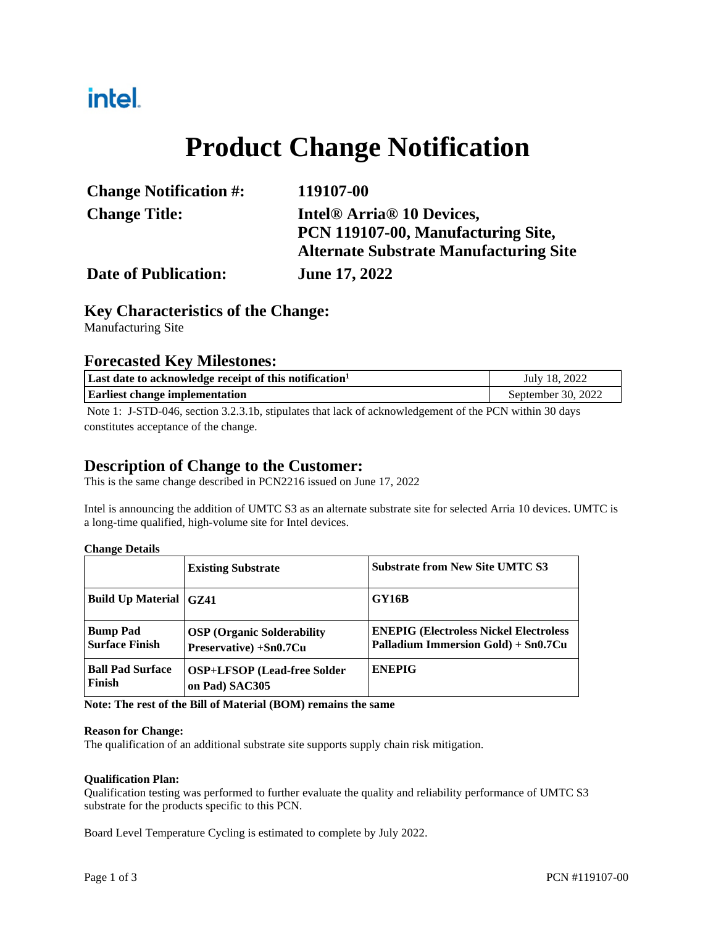## intel.

# **Product Change Notification**

| <b>Change Notification #:</b> | 119107-00                                         |
|-------------------------------|---------------------------------------------------|
| <b>Change Title:</b>          | Intel <sup>®</sup> Arria <sup>®</sup> 10 Devices, |
|                               | PCN 119107-00, Manufacturing Site,                |
|                               | <b>Alternate Substrate Manufacturing Site</b>     |
| <b>Date of Publication:</b>   | <b>June 17, 2022</b>                              |

## **Key Characteristics of the Change:**

Manufacturing Site

## **Forecasted Key Milestones:**

| Last date to acknowledge receipt of this notification <sup>1</sup>                             | July 18, 2022      |
|------------------------------------------------------------------------------------------------|--------------------|
| <b>Earliest change implementation</b>                                                          | September 30, 2022 |
| $\mathbf{M}$ $\mathbf{M}$ $\mathbf{M}$ $\mathbf{M}$ $\mathbf{M}$<br>$3.2.2.41$ $1.1.1$ $1.2.1$ |                    |

Note 1: J-STD-046, section 3.2.3.1b, stipulates that lack of acknowledgement of the PCN within 30 days constitutes acceptance of the change.

## **Description of Change to the Customer:**

This is the same change described in PCN2216 issued on June 17, 2022

Intel is announcing the addition of UMTC S3 as an alternate substrate site for selected Arria 10 devices. UMTC is a long-time qualified, high-volume site for Intel devices.

**Change Details** 

|                                          | <b>Existing Substrate</b>                                   | <b>Substrate from New Site UMTC S3</b>                                               |
|------------------------------------------|-------------------------------------------------------------|--------------------------------------------------------------------------------------|
| Build Up Material GZ41                   |                                                             | <b>GY16B</b>                                                                         |
| <b>Bump Pad</b><br><b>Surface Finish</b> | <b>OSP</b> (Organic Solderability<br>Preservative) +Sn0.7Cu | <b>ENEPIG (Electroless Nickel Electroless</b><br>Palladium Immersion Gold) + Sn0.7Cu |
| <b>Ball Pad Surface</b><br>Finish        | <b>OSP+LFSOP</b> (Lead-free Solder<br>on Pad) SAC305        | <b>ENEPIG</b>                                                                        |

**Note: The rest of the Bill of Material (BOM) remains the same** 

#### **Reason for Change:**

The qualification of an additional substrate site supports supply chain risk mitigation.

#### **Qualification Plan:**

Qualification testing was performed to further evaluate the quality and reliability performance of UMTC S3 substrate for the products specific to this PCN.

Board Level Temperature Cycling is estimated to complete by July 2022.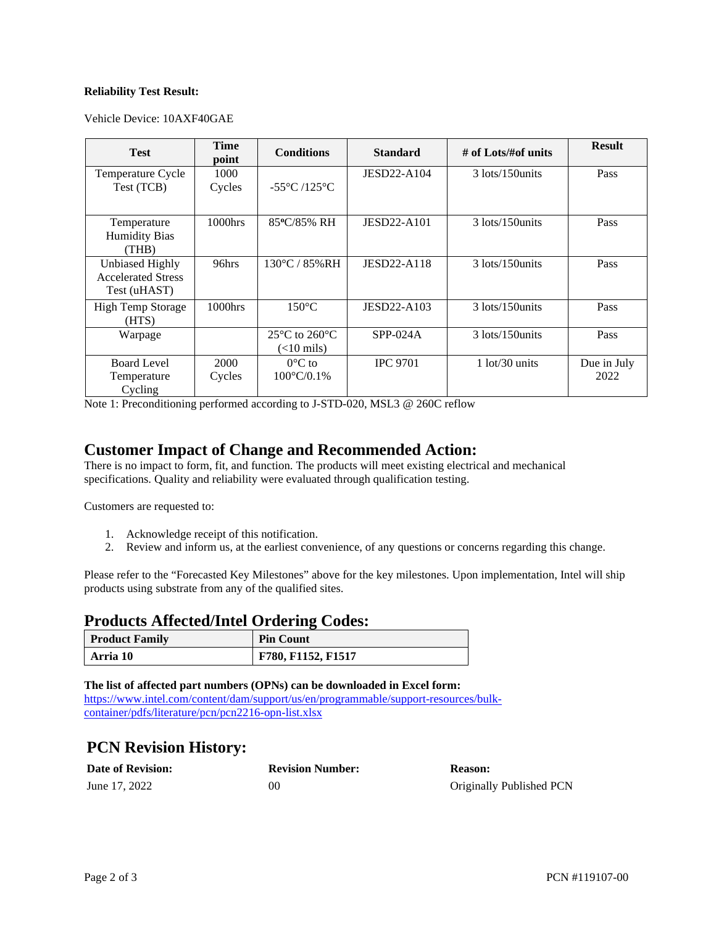#### **Reliability Test Result:**

Vehicle Device: 10AXF40GAE

| <b>Test</b>                                                         | <b>Time</b><br>point | <b>Conditions</b>                                  | <b>Standard</b>    | # of Lots/#of units | <b>Result</b> |
|---------------------------------------------------------------------|----------------------|----------------------------------------------------|--------------------|---------------------|---------------|
| Temperature Cycle                                                   | 1000                 |                                                    | JESD22-A104        | 3 lots/150 units    | Pass          |
| Test (TCB)                                                          | Cycles               | $-55^{\circ}$ C /125 $^{\circ}$ C                  |                    |                     |               |
| Temperature<br><b>Humidity Bias</b><br>(THB)                        | 1000hrs              | 85°C/85% RH                                        | <b>JESD22-A101</b> | 3 lots/150 units    | Pass          |
| <b>Unbiased Highly</b><br><b>Accelerated Stress</b><br>Test (uHAST) | 96hrs                | $130^{\circ}$ C / 85% RH                           | <b>JESD22-A118</b> | 3 lots/150 units    | Pass          |
| <b>High Temp Storage</b><br>(HTS)                                   | 1000hrs              | $150^{\circ}$ C                                    | JESD22-A103        | 3 lots/150 units    | Pass          |
| Warpage                                                             |                      | $25^{\circ}$ C to $260^{\circ}$ C<br>$(<$ 10 mils) | $SPP-024A$         | 3 lots/150 units    | Pass          |
| <b>Board Level</b>                                                  | 2000                 | $0^{\circ}$ C to                                   | <b>IPC 9701</b>    | $1$ lot/30 units    | Due in July   |
| Temperature<br>Cycling                                              | Cycles               | $100^{\circ}$ C/0.1%                               |                    |                     | 2022          |

Note 1: Preconditioning performed according to J-STD-020, MSL3 @ 260C reflow

### **Customer Impact of Change and Recommended Action:**

There is no impact to form, fit, and function. The products will meet existing electrical and mechanical specifications. Quality and reliability were evaluated through qualification testing.

Customers are requested to:

- 1. Acknowledge receipt of this notification.
- 2. Review and inform us, at the earliest convenience, of any questions or concerns regarding this change.

Please refer to the "Forecasted Key Milestones" above for the key milestones. Upon implementation, Intel will ship products using substrate from any of the qualified sites.

#### **Products Affected/Intel Ordering Codes:**

| <b>Product Family</b> | <b>Pin Count</b>   |
|-----------------------|--------------------|
| Arria 10              | F780, F1152, F1517 |

**The list of affected part numbers (OPNs) can be downloaded in Excel form:**  [https://www.intel.com/content/dam/support/us/en/programmable/support-resources/bulk](https://www.intel.com/content/dam/support/us/en/programmable/support-resources/bulk-container/pdfs/literature/pcn/pcn2216-opn-list.xlsx)[container/pdfs/literature/pcn/pcn2216-opn-list.xlsx](https://www.intel.com/content/dam/support/us/en/programmable/support-resources/bulk-container/pdfs/literature/pcn/pcn2216-opn-list.xlsx)

## **PCN Revision History:**

| <b>Date of Revision:</b> | <b>Revision Number:</b> | Reason:                  |
|--------------------------|-------------------------|--------------------------|
| June 17, 2022            | 00                      | Originally Published PCN |